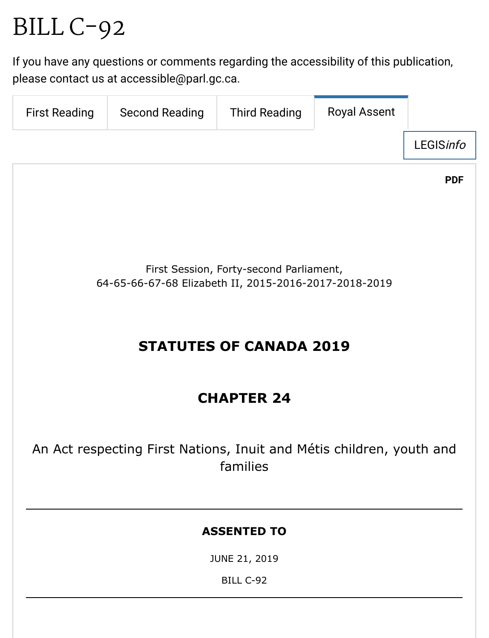# BILL [C-92](https://www.parl.ca/LegisInfo/BillDetails.aspx?Language=en&Mode=1&billId=10344307)

If you have any ques[tions or comments rega](mailto:accessible@parl.gc.ca)rding the accessibility of this publication, [please contact us](https://www.parl.ca/DocumentViewer/en/42-1/bill/C-92/first-reading) [at accessible@parl.g](https://www.parl.ca/DocumentViewer/en/42-1/bill/C-92/second-reading)[c.ca.](https://www.parl.ca/DocumentViewer/en/42-1/bill/C-92/third-reading)

| <b>First Reading</b>                                                             | <b>Second Reading</b> | <b>Third Reading</b> | <b>Royal Assent</b> |  |  |
|----------------------------------------------------------------------------------|-----------------------|----------------------|---------------------|--|--|
| <b>LEGISinfo</b>                                                                 |                       |                      |                     |  |  |
| <b>PDF</b>                                                                       |                       |                      |                     |  |  |
|                                                                                  |                       |                      |                     |  |  |
|                                                                                  |                       |                      |                     |  |  |
| First Session, Forty-second Parliament,                                          |                       |                      |                     |  |  |
| 64-65-66-67-68 Elizabeth II, 2015-2016-2017-2018-2019                            |                       |                      |                     |  |  |
|                                                                                  |                       |                      |                     |  |  |
| <b>STATUTES OF CANADA 2019</b>                                                   |                       |                      |                     |  |  |
|                                                                                  |                       |                      |                     |  |  |
| <b>CHAPTER 24</b>                                                                |                       |                      |                     |  |  |
|                                                                                  |                       |                      |                     |  |  |
| An Act respecting First Nations, Inuit and Métis children, youth and<br>families |                       |                      |                     |  |  |
|                                                                                  |                       |                      |                     |  |  |
|                                                                                  |                       |                      |                     |  |  |
| <b>ASSENTED TO</b>                                                               |                       |                      |                     |  |  |
| JUNE 21, 2019                                                                    |                       |                      |                     |  |  |
| BILL C-92                                                                        |                       |                      |                     |  |  |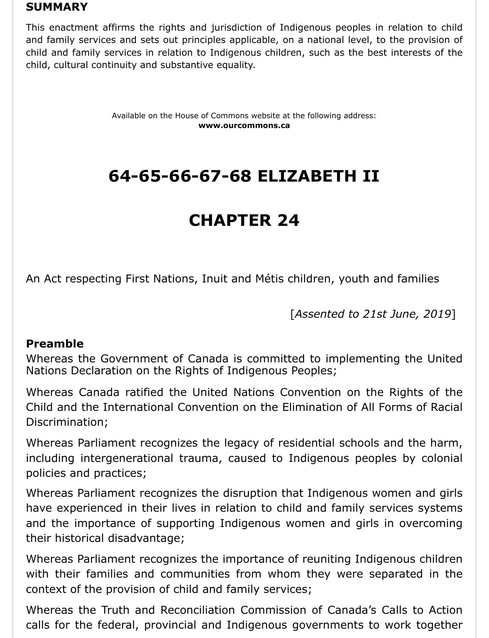#### **SUMMARY**

This enactment affirms the rights and jurisdiction of Indigenous peoples in relation to child and family services and sets out principles applicable, on a national level, to the provision of child and family services in relation to Indigenous children, such as the best interests of the child, cultural continuity and substantive equality.

> Available on the House of Commons website at the following address: **www.ourcommons.ca**

## **64-65-66-67-68 ELIZABETH II**

## **CHAPTER 24**

An Act respecting First Nations, Inuit and Métis children, youth and families

[*Assented to 21st June, 2019*]

#### **Preamble**

Whereas the Government of Canada is committed to implementing the United Nations Declaration on the Rights of Indigenous Peoples;

Whereas Canada ratified the United Nations Convention on the Rights of the Child and the International Convention on the Elimination of All Forms of Racial Discrimination;

Whereas Parliament recognizes the legacy of residential schools and the harm, including intergenerational trauma, caused to Indigenous peoples by colonial policies and practices;

Whereas Parliament recognizes the disruption that Indigenous women and girls have experienced in their lives in relation to child and family services systems and the importance of supporting Indigenous women and girls in overcoming their historical disadvantage;

Whereas Parliament recognizes the importance of reuniting Indigenous children with their families and communities from whom they were separated in the context of the provision of child and family services;

Whereas the Truth and Reconciliation Commission of Canada's Calls to Action calls for the federal, provincial and Indigenous governments to work together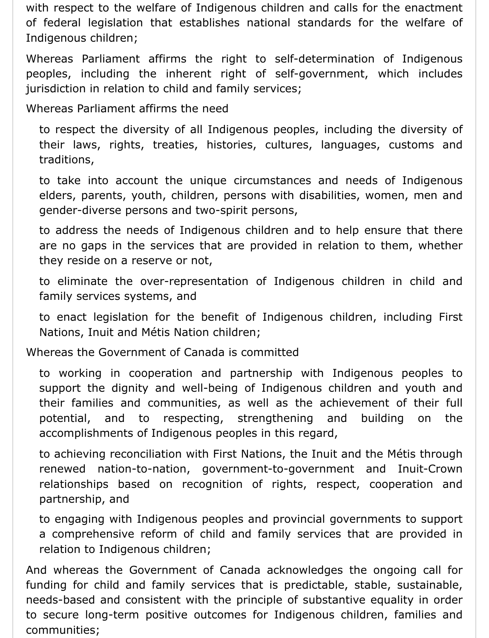with respect to the welfare of Indigenous children and calls for the enactment of federal legislation that establishes national standards for the welfare of Indigenous children;

Whereas Parliament affirms the right to self-determination of Indigenous peoples, including the inherent right of self-government, which includes jurisdiction in relation to child and family services;

Whereas Parliament affirms the need

to respect the diversity of all Indigenous peoples, including the diversity of their laws, rights, treaties, histories, cultures, languages, customs and traditions,

to take into account the unique circumstances and needs of Indigenous elders, parents, youth, children, persons with disabilities, women, men and gender-diverse persons and two-spirit persons,

to address the needs of Indigenous children and to help ensure that there are no gaps in the services that are provided in relation to them, whether they reside on a reserve or not,

to eliminate the over-representation of Indigenous children in child and family services systems, and

to enact legislation for the benefit of Indigenous children, including First Nations, Inuit and Métis Nation children;

Whereas the Government of Canada is committed

to working in cooperation and partnership with Indigenous peoples to support the dignity and well-being of Indigenous children and youth and their families and communities, as well as the achievement of their full potential, and to respecting, strengthening and building on the accomplishments of Indigenous peoples in this regard,

to achieving reconciliation with First Nations, the Inuit and the Métis through renewed nation-to-nation, government-to-government and Inuit-Crown relationships based on recognition of rights, respect, cooperation and partnership, and

to engaging with Indigenous peoples and provincial governments to support a comprehensive reform of child and family services that are provided in relation to Indigenous children;

And whereas the Government of Canada acknowledges the ongoing call for funding for child and family services that is predictable, stable, sustainable, needs-based and consistent with the principle of substantive equality in order to secure long-term positive outcomes for Indigenous children, families and communities;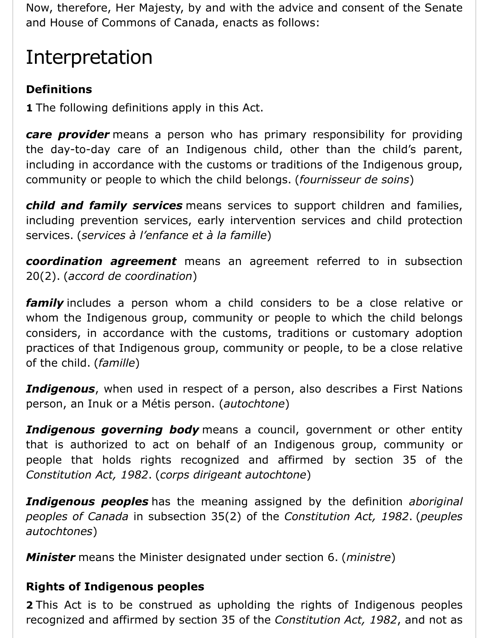Now, therefore, Her Majesty, by and with the advice and consent of the Senate and House of Commons of Canada, enacts as follows:

## Interpretation

## **Definitions**

**1** The following definitions apply in this Act.

*care provider* means a person who has primary responsibility for providing the day-to-day care of an Indigenous child, other than the child's parent, including in accordance with the customs or traditions of the Indigenous group, community or people to which the child belongs. (*fournisseur de soins*)

*child and family services* means services to support children and families, including prevention services, early intervention services and child protection services. (*services à l'enfance et à la famille*)

*coordination agreement* means an agreement referred to in subsection 20(2). (*accord de coordination*)

*family* includes a person whom a child considers to be a close relative or whom the Indigenous group, community or people to which the child belongs considers, in accordance with the customs, traditions or customary adoption practices of that Indigenous group, community or people, to be a close relative of the child. (*famille*)

*Indigenous*, when used in respect of a person, also describes a First Nations person, an Inuk or a Métis person. (*autochtone*)

**Indigenous governing body** means a council, government or other entity that is authorized to act on behalf of an Indigenous group, community or people that holds rights recognized and affirmed by section 35 of the *Constitution Act, 1982*. (*corps dirigeant autochtone*)

*Indigenous peoples* has the meaning assigned by the definition *aboriginal peoples of Canada* in subsection 35(2) of the *Constitution Act, 1982*. (*peuples autochtones*)

*Minister* means the Minister designated under section 6. (*ministre*)

### **Rights of Indigenous peoples**

**2** This Act is to be construed as upholding the rights of Indigenous peoples recognized and affirmed by section 35 of the *Constitution Act, 1982*, and not as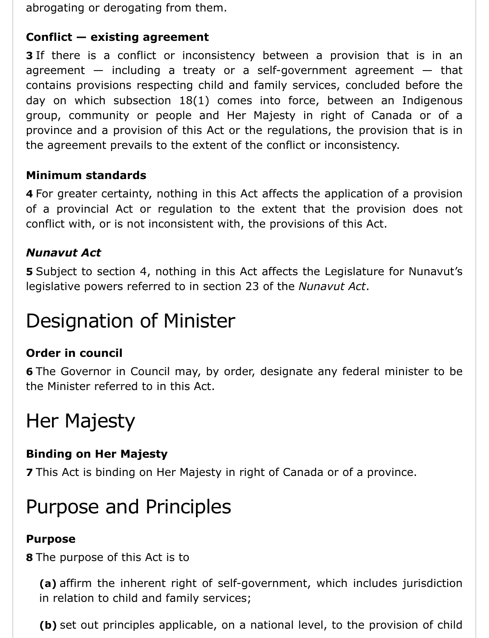abrogating or derogating from them.

## **Conflict — existing agreement**

**3** If there is a conflict or inconsistency between a provision that is in an agreement  $-$  including a treaty or a self-government agreement  $-$  that contains provisions respecting child and family services, concluded before the day on which subsection 18(1) comes into force, between an Indigenous group, community or people and Her Majesty in right of Canada or of a province and a provision of this Act or the regulations, the provision that is in the agreement prevails to the extent of the conflict or inconsistency.

## **Minimum standards**

**4** For greater certainty, nothing in this Act affects the application of a provision of a provincial Act or regulation to the extent that the provision does not conflict with, or is not inconsistent with, the provisions of this Act.

## *Nunavut Act*

**5** Subject to section 4, nothing in this Act affects the Legislature for Nunavut's legislative powers referred to in section 23 of the *Nunavut Act*.

## Designation of Minister

## **Order in council**

**6** The Governor in Council may, by order, designate any federal minister to be the Minister referred to in this Act.

## Her Majesty

### **Binding on Her Majesty**

**7** This Act is binding on Her Majesty in right of Canada or of a province.

## Purpose and Principles

### **Purpose**

**8** The purpose of this Act is to

**(a)** affirm the inherent right of self-government, which includes jurisdiction in relation to child and family services;

**(b)** set out principles applicable, on a national level, to the provision of child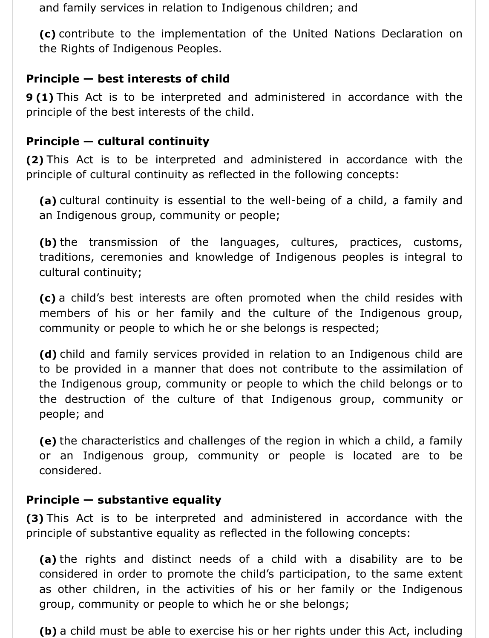and family services in relation to Indigenous children; and

**(c)** contribute to the implementation of the United Nations Declaration on the Rights of Indigenous Peoples.

## **Principle — best interests of child**

**9 (1)** This Act is to be interpreted and administered in accordance with the principle of the best interests of the child.

### **Principle — cultural continuity**

**(2)** This Act is to be interpreted and administered in accordance with the principle of cultural continuity as reflected in the following concepts:

**(a)** cultural continuity is essential to the well-being of a child, a family and an Indigenous group, community or people;

**(b)** the transmission of the languages, cultures, practices, customs, traditions, ceremonies and knowledge of Indigenous peoples is integral to cultural continuity;

**(c)** a child's best interests are often promoted when the child resides with members of his or her family and the culture of the Indigenous group, community or people to which he or she belongs is respected;

**(d)** child and family services provided in relation to an Indigenous child are to be provided in a manner that does not contribute to the assimilation of the Indigenous group, community or people to which the child belongs or to the destruction of the culture of that Indigenous group, community or people; and

**(e)** the characteristics and challenges of the region in which a child, a family or an Indigenous group, community or people is located are to be considered.

### **Principle — substantive equality**

**(3)** This Act is to be interpreted and administered in accordance with the principle of substantive equality as reflected in the following concepts:

**(a)** the rights and distinct needs of a child with a disability are to be considered in order to promote the child's participation, to the same extent as other children, in the activities of his or her family or the Indigenous group, community or people to which he or she belongs;

**(b)** a child must be able to exercise his or her rights under this Act, including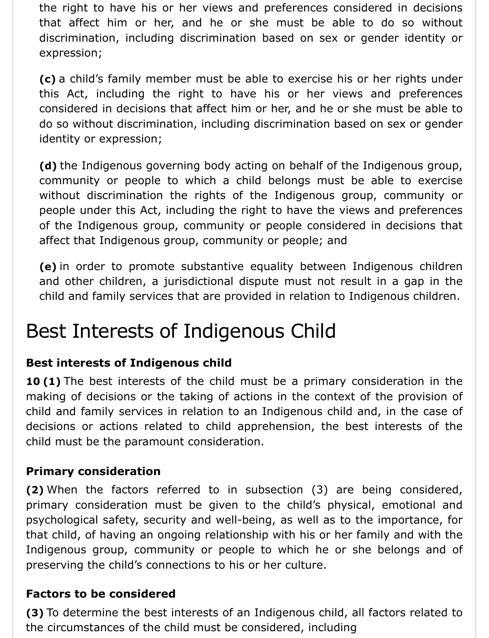the right to have his or her views and preferences considered in decisions that affect him or her, and he or she must be able to do so without discrimination, including discrimination based on sex or gender identity or expression;

**(c)** a child's family member must be able to exercise his or her rights under this Act, including the right to have his or her views and preferences considered in decisions that affect him or her, and he or she must be able to do so without discrimination, including discrimination based on sex or gender identity or expression;

**(d)** the Indigenous governing body acting on behalf of the Indigenous group, community or people to which a child belongs must be able to exercise without discrimination the rights of the Indigenous group, community or people under this Act, including the right to have the views and preferences of the Indigenous group, community or people considered in decisions that affect that Indigenous group, community or people; and

**(e)** in order to promote substantive equality between Indigenous children and other children, a jurisdictional dispute must not result in a gap in the child and family services that are provided in relation to Indigenous children.

## Best Interests of Indigenous Child

## **Best interests of Indigenous child**

**10 (1)** The best interests of the child must be a primary consideration in the making of decisions or the taking of actions in the context of the provision of child and family services in relation to an Indigenous child and, in the case of decisions or actions related to child apprehension, the best interests of the child must be the paramount consideration.

### **Primary consideration**

**(2)** When the factors referred to in subsection (3) are being considered, primary consideration must be given to the child's physical, emotional and psychological safety, security and well-being, as well as to the importance, for that child, of having an ongoing relationship with his or her family and with the Indigenous group, community or people to which he or she belongs and of preserving the child's connections to his or her culture.

### **Factors to be considered**

**(3)** To determine the best interests of an Indigenous child, all factors related to the circumstances of the child must be considered, including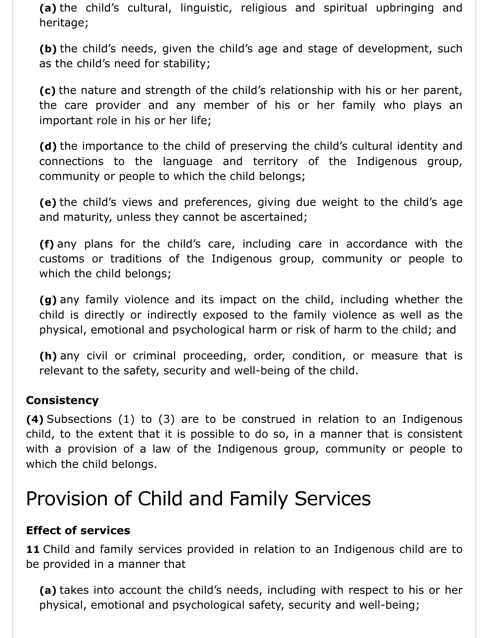**(a)** the child's cultural, linguistic, religious and spiritual upbringing and heritage;

**(b)** the child's needs, given the child's age and stage of development, such as the child's need for stability;

**(c)** the nature and strength of the child's relationship with his or her parent, the care provider and any member of his or her family who plays an important role in his or her life;

**(d)** the importance to the child of preserving the child's cultural identity and connections to the language and territory of the Indigenous group, community or people to which the child belongs;

**(e)** the child's views and preferences, giving due weight to the child's age and maturity, unless they cannot be ascertained;

**(f)** any plans for the child's care, including care in accordance with the customs or traditions of the Indigenous group, community or people to which the child belongs;

**(g)** any family violence and its impact on the child, including whether the child is directly or indirectly exposed to the family violence as well as the physical, emotional and psychological harm or risk of harm to the child; and

**(h)** any civil or criminal proceeding, order, condition, or measure that is relevant to the safety, security and well-being of the child.

### **Consistency**

**(4)** Subsections (1) to (3) are to be construed in relation to an Indigenous child, to the extent that it is possible to do so, in a manner that is consistent with a provision of a law of the Indigenous group, community or people to which the child belongs.

## Provision of Child and Family Services

### **Effect of services**

11 Child and family services provided in relation to an Indigenous child are to be provided in a manner that

**(a)** takes into account the child's needs, including with respect to his or her physical, emotional and psychological safety, security and well-being;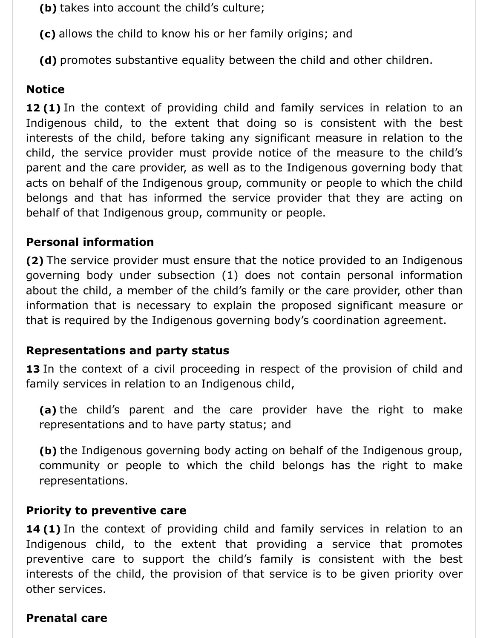**(b)** takes into account the child's culture;

**(c)** allows the child to know his or her family origins; and

**(d)** promotes substantive equality between the child and other children.

### **Notice**

**12 (1)** In the context of providing child and family services in relation to an Indigenous child, to the extent that doing so is consistent with the best interests of the child, before taking any significant measure in relation to the child, the service provider must provide notice of the measure to the child's parent and the care provider, as well as to the Indigenous governing body that acts on behalf of the Indigenous group, community or people to which the child belongs and that has informed the service provider that they are acting on behalf of that Indigenous group, community or people.

### **Personal information**

**(2)** The service provider must ensure that the notice provided to an Indigenous governing body under subsection (1) does not contain personal information about the child, a member of the child's family or the care provider, other than information that is necessary to explain the proposed significant measure or that is required by the Indigenous governing body's coordination agreement.

### **Representations and party status**

13 In the context of a civil proceeding in respect of the provision of child and family services in relation to an Indigenous child,

**(a)** the child's parent and the care provider have the right to make representations and to have party status; and

**(b)** the Indigenous governing body acting on behalf of the Indigenous group, community or people to which the child belongs has the right to make representations.

### **Priority to preventive care**

**14 (1)** In the context of providing child and family services in relation to an Indigenous child, to the extent that providing a service that promotes preventive care to support the child's family is consistent with the best interests of the child, the provision of that service is to be given priority over other services.

### **Prenatal care**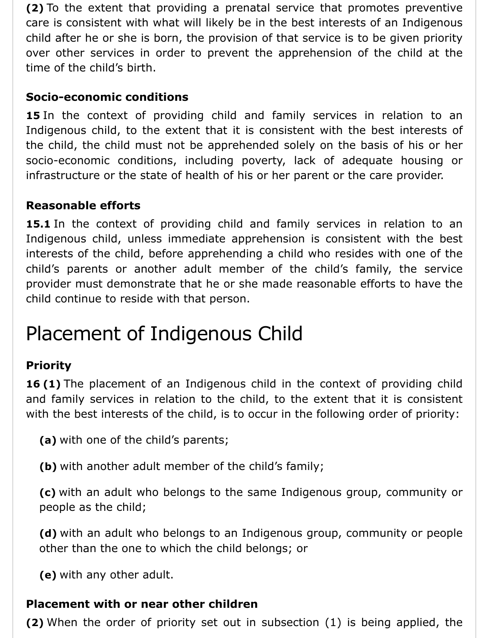**(2)** To the extent that providing a prenatal service that promotes preventive care is consistent with what will likely be in the best interests of an Indigenous child after he or she is born, the provision of that service is to be given priority over other services in order to prevent the apprehension of the child at the time of the child's birth.

### **Socio-economic conditions**

15 In the context of providing child and family services in relation to an Indigenous child, to the extent that it is consistent with the best interests of the child, the child must not be apprehended solely on the basis of his or her socio-economic conditions, including poverty, lack of adequate housing or infrastructure or the state of health of his or her parent or the care provider.

### **Reasonable efforts**

**15.1** In the context of providing child and family services in relation to an Indigenous child, unless immediate apprehension is consistent with the best interests of the child, before apprehending a child who resides with one of the child's parents or another adult member of the child's family, the service provider must demonstrate that he or she made reasonable efforts to have the child continue to reside with that person.

## Placement of Indigenous Child

### **Priority**

**16 (1)** The placement of an Indigenous child in the context of providing child and family services in relation to the child, to the extent that it is consistent with the best interests of the child, is to occur in the following order of priority:

**(a)** with one of the child's parents;

**(b)** with another adult member of the child's family;

**(c)** with an adult who belongs to the same Indigenous group, community or people as the child;

**(d)** with an adult who belongs to an Indigenous group, community or people other than the one to which the child belongs; or

**(e)** with any other adult.

### **Placement with or near other children**

**(2)** When the order of priority set out in subsection (1) is being applied, the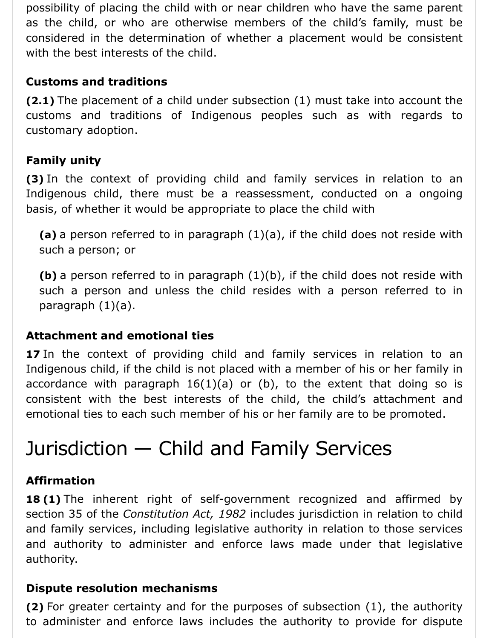possibility of placing the child with or near children who have the same parent as the child, or who are otherwise members of the child's family, must be considered in the determination of whether a placement would be consistent with the best interests of the child.

## **Customs and traditions**

**(2.1)** The placement of a child under subsection (1) must take into account the customs and traditions of Indigenous peoples such as with regards to customary adoption.

## **Family unity**

**(3)** In the context of providing child and family services in relation to an Indigenous child, there must be a reassessment, conducted on a ongoing basis, of whether it would be appropriate to place the child with

**(a)** a person referred to in paragraph (1)(a), if the child does not reside with such a person; or

**(b)** a person referred to in paragraph (1)(b), if the child does not reside with such a person and unless the child resides with a person referred to in paragraph (1)(a).

### **Attachment and emotional ties**

**17** In the context of providing child and family services in relation to an Indigenous child, if the child is not placed with a member of his or her family in accordance with paragraph  $16(1)(a)$  or (b), to the extent that doing so is consistent with the best interests of the child, the child's attachment and emotional ties to each such member of his or her family are to be promoted.

## Jurisdiction — Child and Family Services

### **Affirmation**

**18 (1)** The inherent right of self-government recognized and affirmed by section 35 of the *Constitution Act, 1982* includes jurisdiction in relation to child and family services, including legislative authority in relation to those services and authority to administer and enforce laws made under that legislative authority.

### **Dispute resolution mechanisms**

**(2)** For greater certainty and for the purposes of subsection (1), the authority to administer and enforce laws includes the authority to provide for dispute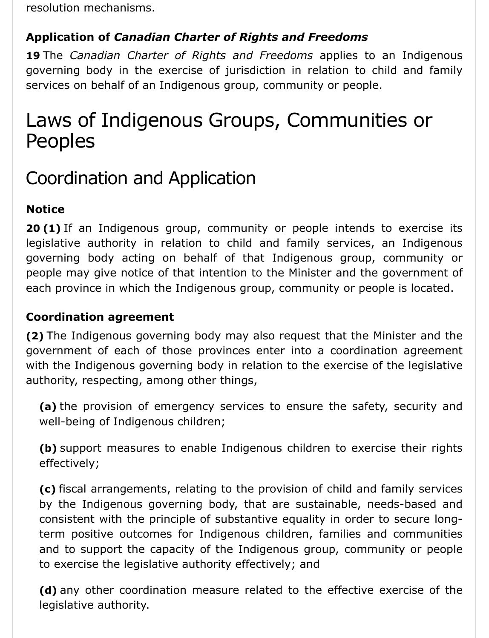resolution mechanisms.

## **Application of** *Canadian Charter of Rights and Freedoms*

**19** The *Canadian Charter of Rights and Freedoms* applies to an Indigenous governing body in the exercise of jurisdiction in relation to child and family services on behalf of an Indigenous group, community or people.

## Laws of Indigenous Groups, Communities or Peoples

## Coordination and Application

## **Notice**

**20 (1)** If an Indigenous group, community or people intends to exercise its legislative authority in relation to child and family services, an Indigenous governing body acting on behalf of that Indigenous group, community or people may give notice of that intention to the Minister and the government of each province in which the Indigenous group, community or people is located.

## **Coordination agreement**

**(2)** The Indigenous governing body may also request that the Minister and the government of each of those provinces enter into a coordination agreement with the Indigenous governing body in relation to the exercise of the legislative authority, respecting, among other things,

**(a)** the provision of emergency services to ensure the safety, security and well-being of Indigenous children;

**(b)** support measures to enable Indigenous children to exercise their rights effectively;

**(c)** fiscal arrangements, relating to the provision of child and family services by the Indigenous governing body, that are sustainable, needs-based and consistent with the principle of substantive equality in order to secure longterm positive outcomes for Indigenous children, families and communities and to support the capacity of the Indigenous group, community or people to exercise the legislative authority effectively; and

**(d)** any other coordination measure related to the effective exercise of the legislative authority.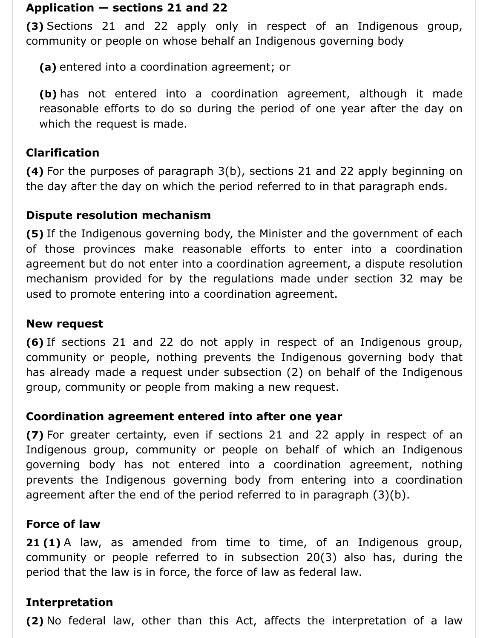### **Application — sections 21 and 22**

**(3)** Sections 21 and 22 apply only in respect of an Indigenous group, community or people on whose behalf an Indigenous governing body

**(a)** entered into a coordination agreement; or

**(b)** has not entered into a coordination agreement, although it made reasonable efforts to do so during the period of one year after the day on which the request is made.

### **Clarification**

**(4)** For the purposes of paragraph 3(b), sections 21 and 22 apply beginning on the day after the day on which the period referred to in that paragraph ends.

### **Dispute resolution mechanism**

**(5)** If the Indigenous governing body, the Minister and the government of each of those provinces make reasonable efforts to enter into a coordination agreement but do not enter into a coordination agreement, a dispute resolution mechanism provided for by the regulations made under section 32 may be used to promote entering into a coordination agreement.

### **New request**

**(6)** If sections 21 and 22 do not apply in respect of an Indigenous group, community or people, nothing prevents the Indigenous governing body that has already made a request under subsection (2) on behalf of the Indigenous group, community or people from making a new request.

### **Coordination agreement entered into after one year**

**(7)** For greater certainty, even if sections 21 and 22 apply in respect of an Indigenous group, community or people on behalf of which an Indigenous governing body has not entered into a coordination agreement, nothing prevents the Indigenous governing body from entering into a coordination agreement after the end of the period referred to in paragraph (3)(b).

### **Force of law**

**21 (1)** A law, as amended from time to time, of an Indigenous group, community or people referred to in subsection 20(3) also has, during the period that the law is in force, the force of law as federal law.

### **Interpretation**

**(2)** No federal law, other than this Act, affects the interpretation of a law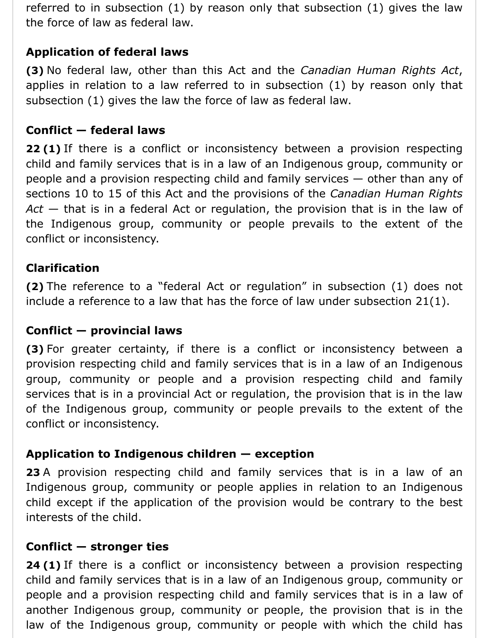referred to in subsection (1) by reason only that subsection (1) gives the law the force of law as federal law.

## **Application of federal laws**

**(3)** No federal law, other than this Act and the *Canadian Human Rights Act*, applies in relation to a law referred to in subsection (1) by reason only that subsection (1) gives the law the force of law as federal law.

### **Conflict — federal laws**

**22 (1)** If there is a conflict or inconsistency between a provision respecting child and family services that is in a law of an Indigenous group, community or people and a provision respecting child and family services — other than any of sections 10 to 15 of this Act and the provisions of the *Canadian Human Rights Act* — that is in a federal Act or regulation, the provision that is in the law of the Indigenous group, community or people prevails to the extent of the conflict or inconsistency.

### **Clarification**

**(2)** The reference to a "federal Act or regulation" in subsection (1) does not include a reference to a law that has the force of law under subsection 21(1).

### **Conflict — provincial laws**

**(3)** For greater certainty, if there is a conflict or inconsistency between a provision respecting child and family services that is in a law of an Indigenous group, community or people and a provision respecting child and family services that is in a provincial Act or regulation, the provision that is in the law of the Indigenous group, community or people prevails to the extent of the conflict or inconsistency.

### **Application to Indigenous children — exception**

**23** A provision respecting child and family services that is in a law of an Indigenous group, community or people applies in relation to an Indigenous child except if the application of the provision would be contrary to the best interests of the child.

#### **Conflict — stronger ties**

**24 (1)** If there is a conflict or inconsistency between a provision respecting child and family services that is in a law of an Indigenous group, community or people and a provision respecting child and family services that is in a law of another Indigenous group, community or people, the provision that is in the law of the Indigenous group, community or people with which the child has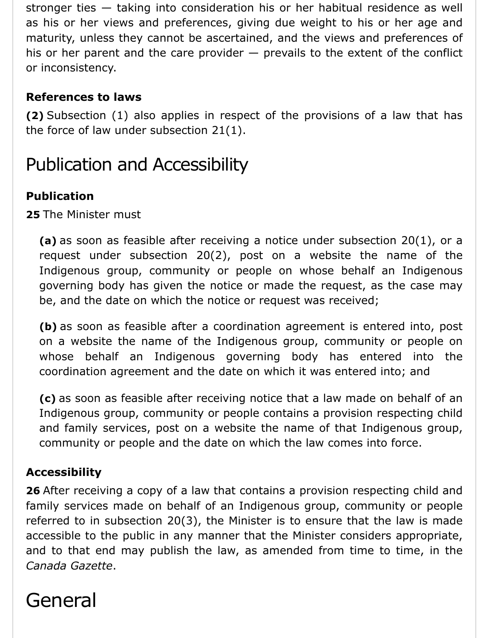stronger ties — taking into consideration his or her habitual residence as well as his or her views and preferences, giving due weight to his or her age and maturity, unless they cannot be ascertained, and the views and preferences of his or her parent and the care provider  $-$  prevails to the extent of the conflict or inconsistency.

## **References to laws**

**(2)** Subsection (1) also applies in respect of the provisions of a law that has the force of law under subsection 21(1).

## Publication and Accessibility

## **Publication**

**25** The Minister must

**(a)** as soon as feasible after receiving a notice under subsection 20(1), or a request under subsection 20(2), post on a website the name of the Indigenous group, community or people on whose behalf an Indigenous governing body has given the notice or made the request, as the case may be, and the date on which the notice or request was received;

**(b)** as soon as feasible after a coordination agreement is entered into, post on a website the name of the Indigenous group, community or people on whose behalf an Indigenous governing body has entered into the coordination agreement and the date on which it was entered into; and

**(c)** as soon as feasible after receiving notice that a law made on behalf of an Indigenous group, community or people contains a provision respecting child and family services, post on a website the name of that Indigenous group, community or people and the date on which the law comes into force.

## **Accessibility**

**26** After receiving a copy of a law that contains a provision respecting child and family services made on behalf of an Indigenous group, community or people referred to in subsection 20(3), the Minister is to ensure that the law is made accessible to the public in any manner that the Minister considers appropriate, and to that end may publish the law, as amended from time to time, in the *Canada Gazette*.

## General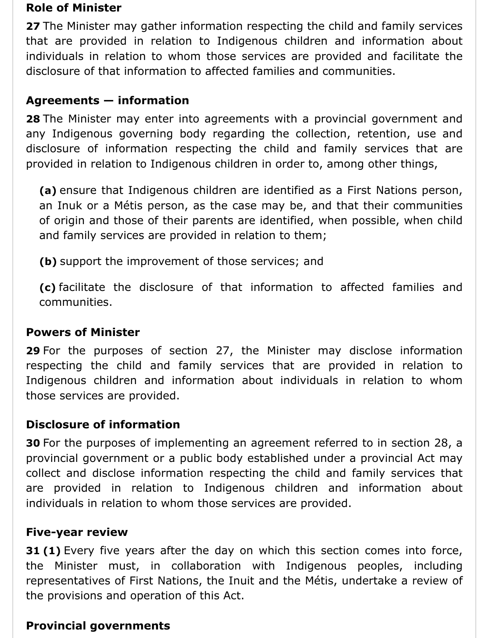#### **Role of Minister**

**27** The Minister may gather information respecting the child and family services that are provided in relation to Indigenous children and information about individuals in relation to whom those services are provided and facilitate the disclosure of that information to affected families and communities.

### **Agreements — information**

**28** The Minister may enter into agreements with a provincial government and any Indigenous governing body regarding the collection, retention, use and disclosure of information respecting the child and family services that are provided in relation to Indigenous children in order to, among other things,

**(a)** ensure that Indigenous children are identified as a First Nations person, an Inuk or a Métis person, as the case may be, and that their communities of origin and those of their parents are identified, when possible, when child and family services are provided in relation to them;

**(b)** support the improvement of those services; and

**(c)** facilitate the disclosure of that information to affected families and communities.

### **Powers of Minister**

**29** For the purposes of section 27, the Minister may disclose information respecting the child and family services that are provided in relation to Indigenous children and information about individuals in relation to whom those services are provided.

### **Disclosure of information**

**30** For the purposes of implementing an agreement referred to in section 28, a provincial government or a public body established under a provincial Act may collect and disclose information respecting the child and family services that are provided in relation to Indigenous children and information about individuals in relation to whom those services are provided.

### **Five-year review**

**31 (1)** Every five years after the day on which this section comes into force, the Minister must, in collaboration with Indigenous peoples, including representatives of First Nations, the Inuit and the Métis, undertake a review of the provisions and operation of this Act.

### **Provincial governments**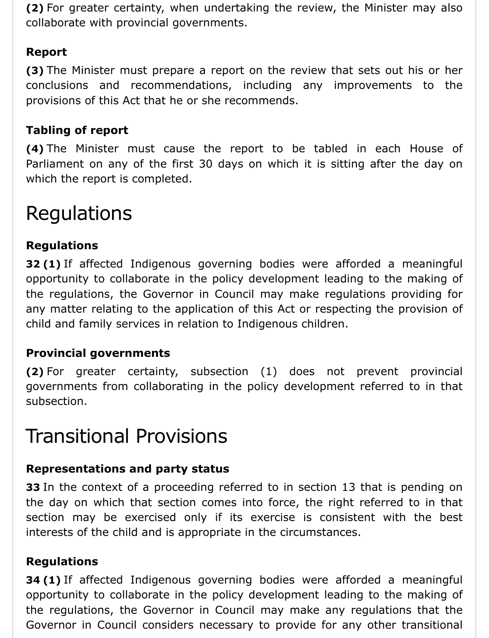**(2)** For greater certainty, when undertaking the review, the Minister may also collaborate with provincial governments.

## **Report**

**(3)** The Minister must prepare a report on the review that sets out his or her conclusions and recommendations, including any improvements to the provisions of this Act that he or she recommends.

## **Tabling of report**

**(4)** The Minister must cause the report to be tabled in each House of Parliament on any of the first 30 days on which it is sitting after the day on which the report is completed.

## Regulations

## **Regulations**

**32 (1)** If affected Indigenous governing bodies were afforded a meaningful opportunity to collaborate in the policy development leading to the making of the regulations, the Governor in Council may make regulations providing for any matter relating to the application of this Act or respecting the provision of child and family services in relation to Indigenous children.

### **Provincial governments**

**(2)** For greater certainty, subsection (1) does not prevent provincial governments from collaborating in the policy development referred to in that subsection.

## Transitional Provisions

## **Representations and party status**

**33** In the context of a proceeding referred to in section 13 that is pending on the day on which that section comes into force, the right referred to in that section may be exercised only if its exercise is consistent with the best interests of the child and is appropriate in the circumstances.

## **Regulations**

**34 (1)** If affected Indigenous governing bodies were afforded a meaningful opportunity to collaborate in the policy development leading to the making of the regulations, the Governor in Council may make any regulations that the Governor in Council considers necessary to provide for any other transitional